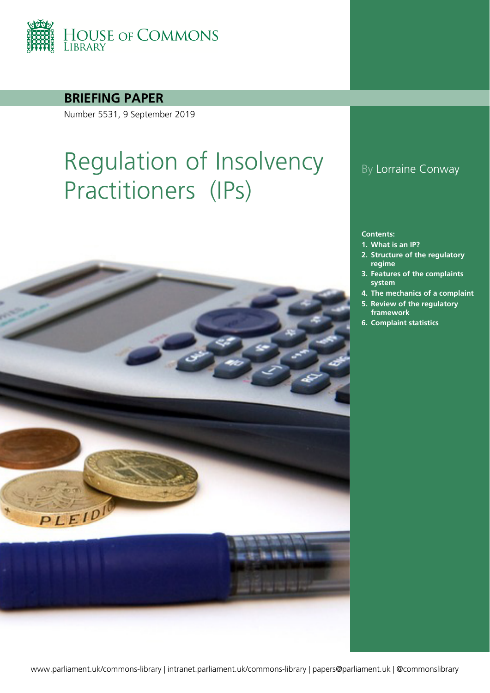

**BRIEFING PAPER**

Number 5531, 9 September 2019

# Regulation of Insolvency Practitioners (IPs)



### By Lorraine Conway

#### **Contents:**

- **1. [What is an IP?](#page-3-0)**
- **2. [Structure of the regulatory](#page-4-0)  [regime](#page-4-0)**
- **3. [Features of the complaints](#page-7-0)  [system](#page-7-0)**
- **4. [The mechanics of a complaint](#page-10-0)**
- **5. [Review of the regulatory](#page-12-0)  [framework](#page-12-0)**
- **6. [Complaint statistics](#page-14-0)**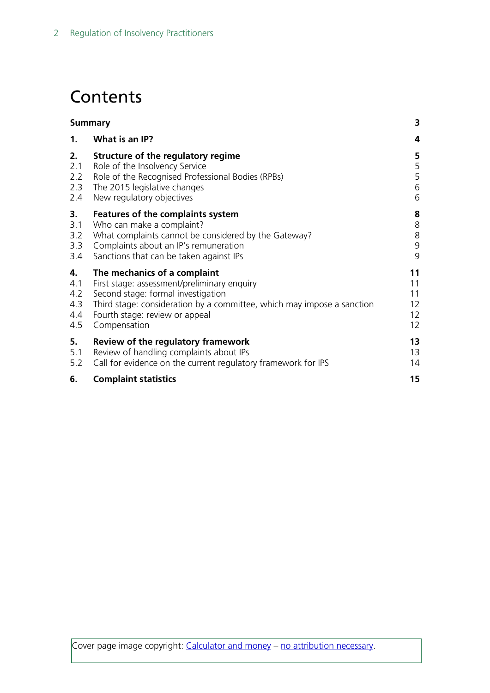## **Contents**

| <b>Summary</b> |                                                                        | 3                 |
|----------------|------------------------------------------------------------------------|-------------------|
| $\mathbf{1}$ . | What is an IP?                                                         | 4                 |
| 2.             | Structure of the regulatory regime                                     | 5                 |
| 2.1            | Role of the Insolvency Service                                         | 5                 |
| 2.2            | Role of the Recognised Professional Bodies (RPBs)                      | 5                 |
| 2.3            | The 2015 legislative changes                                           | 6                 |
| 2.4            | New regulatory objectives                                              | 6                 |
| 3.             | Features of the complaints system                                      | 8                 |
| 3.1            | Who can make a complaint?                                              | 8                 |
| 3.2            | What complaints cannot be considered by the Gateway?                   | $8\,$             |
| 3.3            | Complaints about an IP's remuneration                                  | $\mathsf 9$       |
| 3.4            | Sanctions that can be taken against IPs                                | 9                 |
| 4.             | The mechanics of a complaint                                           | 11                |
| 4.1            | First stage: assessment/preliminary enquiry                            | 11                |
| 4.2            | Second stage: formal investigation                                     | 11                |
| 4.3            | Third stage: consideration by a committee, which may impose a sanction | $12 \overline{ }$ |
| 4.4            | Fourth stage: review or appeal                                         | $12 \overline{ }$ |
| 4.5            | Compensation                                                           | 12                |
| 5.             | Review of the regulatory framework                                     | 13                |
| 5.1            | Review of handling complaints about IPs                                | 13                |
| 5.2            | Call for evidence on the current regulatory framework for IPS          | 14                |
| 6.             | <b>Complaint statistics</b>                                            | 15                |

Cover page image copyright: [Calculator and money](https://pixabay.com/photos/calculator-money-pen-business-1818/) – [no attribution necessary.](https://pixabay.com/service/terms/#download_terms)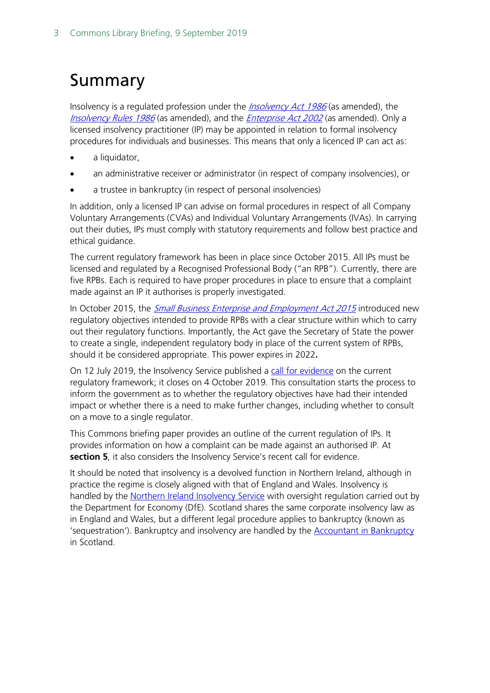## <span id="page-2-0"></span>Summary

Insolvency is a regulated profession under the *[Insolvency Act 1986](http://www.legislation.gov.uk/ukpga/1986/45/contents)* (as amended), the [Insolvency Rules 1986](http://www.legislation.gov.uk/uksi/1986/1925/contents/made) (as amended), and the *[Enterprise Act 2002](http://www.legislation.gov.uk/ukpga/2002/40/contents)* (as amended). Only a licensed insolvency practitioner (IP) may be appointed in relation to formal insolvency procedures for individuals and businesses. This means that only a licenced IP can act as:

- a liquidator,
- an administrative receiver or administrator (in respect of company insolvencies), or
- a trustee in bankruptcy (in respect of personal insolvencies)

In addition, only a licensed IP can advise on formal procedures in respect of all Company Voluntary Arrangements (CVAs) and Individual Voluntary Arrangements (IVAs). In carrying out their duties, IPs must comply with statutory requirements and follow best practice and ethical guidance.

The current regulatory framework has been in place since October 2015. All IPs must be licensed and regulated by a Recognised Professional Body ("an RPB"). Currently, there are five RPBs. Each is required to have proper procedures in place to ensure that a complaint made against an IP it authorises is properly investigated.

In October 2015, the *[Small Business Enterprise and Employment Act 2015](http://www.legislation.gov.uk/ukpga/2015/26/contents/enacted)* introduced new regulatory objectives intended to provide RPBs with a clear structure within which to carry out their regulatory functions. Importantly, the Act gave the Secretary of State the power to create a single, independent regulatory body in place of the current system of RPBs, should it be considered appropriate. This power expires in 2022**.**

On 12 July 2019, the Insolvency Service published a [call for evidence](https://assets.publishing.service.gov.uk/government/uploads/system/uploads/attachment_data/file/816560/Call_for_Evidence_Final_Proofed_Versionrev.pdf) on the current regulatory framework; it closes on 4 October 2019. This consultation starts the process to inform the government as to whether the regulatory objectives have had their intended impact or whether there is a need to make further changes, including whether to consult on a move to a single regulator.

This Commons briefing paper provides an outline of the current regulation of IPs. It provides information on how a complaint can be made against an authorised IP. At **section 5**, it also considers the Insolvency Service's recent call for evidence.

It should be noted that insolvency is a devolved function in Northern Ireland, although in practice the regime is closely aligned with that of England and Wales. Insolvency is handled by the [Northern Ireland Insolvency Service](https://www.economy-ni.gov.uk/contacts/insolvency-service) with oversight regulation carried out by the Department for Economy (DfE). Scotland shares the same corporate insolvency law as in England and Wales, but a different legal procedure applies to bankruptcy (known as 'sequestration'). Bankruptcy and insolvency are handled by the [Accountant in Bankruptcy](http://www.aib.gov.uk/about/contact-us) in Scotland.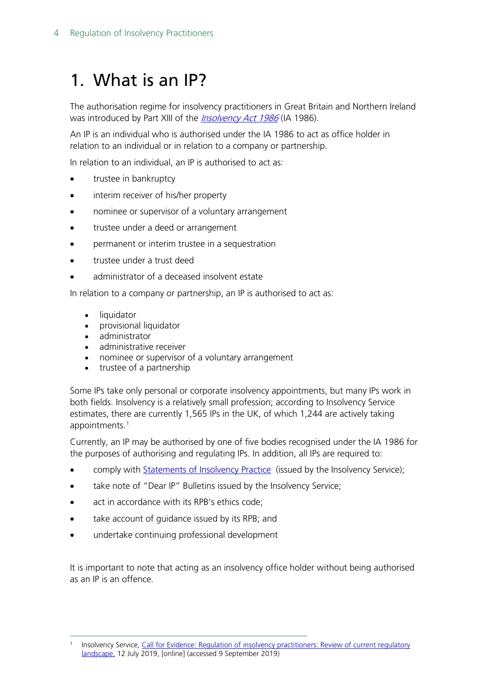## <span id="page-3-0"></span>1. What is an IP?

The authorisation regime for insolvency practitioners in Great Britain and Northern Ireland was introduced by Part XIII of the *[Insolvency Act 1986](http://www.legislation.gov.uk/ukpga/1986/45/contents)* (IA 1986).

An IP is an individual who is authorised under the IA 1986 to act as office holder in relation to an individual or in relation to a company or partnership.

In relation to an individual, an IP is authorised to act as:

- trustee in bankruptcy
- interim receiver of his/her property
- nominee or supervisor of a voluntary arrangement
- trustee under a deed or arrangement
- permanent or interim trustee in a sequestration
- trustee under a trust deed
- administrator of a deceased insolvent estate

In relation to a company or partnership, an IP is authorised to act as:

- liquidator
- provisional liquidator
- administrator
- administrative receiver
- nominee or supervisor of a voluntary arrangement
- trustee of a partnership

Some IPs take only personal or corporate insolvency appointments, but many IPs work in both fields. Insolvency is a relatively small profession; according to Insolvency Service estimates, there are currently 1,565 IPs in the UK, of which 1,244 are actively taking appointments.<sup>[1](#page-3-1)</sup>

Currently, an IP may be authorised by one of five bodies recognised under the IA 1986 for the purposes of authorising and regulating IPs. In addition, all IPs are required to:

- comply with [Statements of Insolvency Practice](http://www.insolvency-practitioners.org.uk/regulation-and-guidance/sips) (issued by the Insolvency Service);
- take note of "Dear IP" Bulletins issued by the Insolvency Service;
- act in accordance with its RPB's ethics code:
- take account of guidance issued by its RPB; and
- undertake continuing professional development

It is important to note that acting as an insolvency office holder without being authorised as an IP is an offence.

<span id="page-3-1"></span>Insolvency Service, Call for Evidence: Regulation of insolvency practitioners: Review of current regulatory [landscape,](https://assets.publishing.service.gov.uk/government/uploads/system/uploads/attachment_data/file/816560/Call_for_Evidence_Final_Proofed_Versionrev.pdf) 12 July 2019, [online] (accessed 9 September 2019)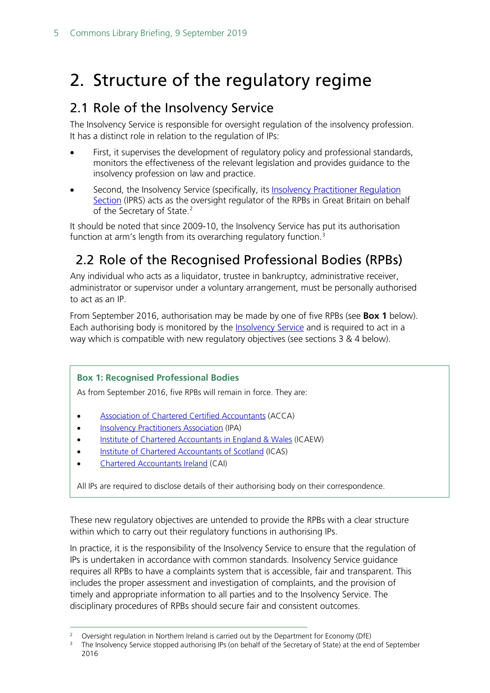## <span id="page-4-0"></span>2. Structure of the regulatory regime

### <span id="page-4-1"></span>2.1 Role of the Insolvency Service

The Insolvency Service is responsible for oversight regulation of the insolvency profession. It has a distinct role in relation to the regulation of IPs:

- First, it supervises the development of regulatory policy and professional standards, monitors the effectiveness of the relevant legislation and provides guidance to the insolvency profession on law and practice.
- Second, the Insolvency Service (specifically, its Insolvency Practitioner Regulation [Section](https://www.gov.uk/government/news/call-for-evidence-on-insolvency-practitioner-regulation) (IPRS) acts as the oversight regulator of the RPBs in Great Britain on behalf of the Secretary of State.<sup>[2](#page-4-3)</sup>

It should be noted that since 2009-10, the Insolvency Service has put its authorisation function at arm's length from its overarching regulatory function. [3](#page-4-4)

### <span id="page-4-2"></span>2.2 Role of the Recognised Professional Bodies (RPBs)

Any individual who acts as a liquidator, trustee in bankruptcy, administrative receiver, administrator or supervisor under a voluntary arrangement, must be personally authorised to act as an IP.

From September 2016, authorisation may be made by one of five RPBs (see **Box 1** below). Each authorising body is monitored by the **Insolvency Service** and is required to act in a way which is compatible with new regulatory objectives (see sections 3 & 4 below).

#### **Box 1: Recognised Professional Bodies**

As from September 2016, five RPBs will remain in force. They are:

- [Association of Chartered Certified Accountants](http://www.accaglobal.com/us/en/discover.html) (ACCA)
- [Insolvency Practitioners Association](http://www.insolvency-practitioners.org.uk/) (IPA)
- [Institute of Chartered Accountants in England & Wales](http://www.icaew.com/) (ICAEW)
- [Institute of Chartered Accountants of Scotland](https://www.icas.com/) (ICAS)
- [Chartered Accountants Ireland](https://www.charteredaccountants.ie/) (CAI)

All IPs are required to disclose details of their authorising body on their correspondence.

These new regulatory objectives are untended to provide the RPBs with a clear structure within which to carry out their regulatory functions in authorising IPs.

In practice, it is the responsibility of the Insolvency Service to ensure that the regulation of IPs is undertaken in accordance with common standards. Insolvency Service guidance requires all RPBs to have a complaints system that is accessible, fair and transparent. This includes the proper assessment and investigation of complaints, and the provision of timely and appropriate information to all parties and to the Insolvency Service. The disciplinary procedures of RPBs should secure fair and consistent outcomes.

<span id="page-4-4"></span><span id="page-4-3"></span><sup>&</sup>lt;sup>2</sup> Oversight regulation in Northern Ireland is carried out by the Department for Economy (DfE)<br><sup>3</sup> The Insolvency Service stopped authorising IPs (on behalf of the Secretary of State) at the end of September 2016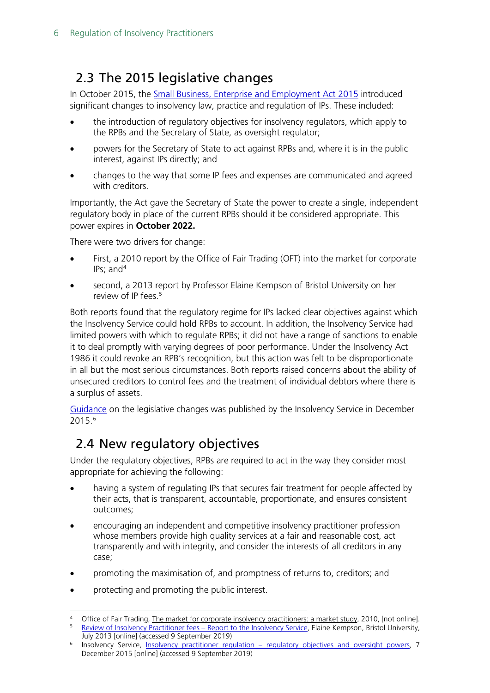### <span id="page-5-0"></span>2.3 The 2015 legislative changes

In October 2015, the [Small Business, Enterprise and Employment Act 2015](http://www.legislation.gov.uk/ukpga/2015/26/contents/enacted) introduced significant changes to insolvency law, practice and regulation of IPs. These included:

- the introduction of regulatory objectives for insolvency regulators, which apply to the RPBs and the Secretary of State, as oversight regulator;
- powers for the Secretary of State to act against RPBs and, where it is in the public interest, against IPs directly; and
- changes to the way that some IP fees and expenses are communicated and agreed with creditors.

Importantly, the Act gave the Secretary of State the power to create a single, independent regulatory body in place of the current RPBs should it be considered appropriate. This power expires in **October 2022.**

There were two drivers for change:

- First, a 2010 report by the Office of Fair Trading (OFT) into the market for corporate IPs; and $4$
- second, a 2013 report by Professor Elaine Kempson of Bristol University on her review of IP fees. [5](#page-5-3)

Both reports found that the regulatory regime for IPs lacked clear objectives against which the Insolvency Service could hold RPBs to account. In addition, the Insolvency Service had limited powers with which to regulate RPBs; it did not have a range of sanctions to enable it to deal promptly with varying degrees of poor performance. Under the Insolvency Act 1986 it could revoke an RPB's recognition, but this action was felt to be disproportionate in all but the most serious circumstances. Both reports raised concerns about the ability of unsecured creditors to control fees and the treatment of individual debtors where there is a surplus of assets.

[Guidance](https://www.gov.uk/government/publications/insolvency-practitioner-regulation-regulatory-objectives-and-oversight-powers) on the legislative changes was published by the Insolvency Service in December 2015.[6](#page-5-4)

### <span id="page-5-1"></span>2.4 New regulatory objectives

Under the regulatory objectives, RPBs are required to act in the way they consider most appropriate for achieving the following:

- having a system of regulating IPs that secures fair treatment for people affected by their acts, that is transparent, accountable, proportionate, and ensures consistent outcomes;
- encouraging an independent and competitive insolvency practitioner profession whose members provide high quality services at a fair and reasonable cost, act transparently and with integrity, and consider the interests of all creditors in any case;
- promoting the maximisation of, and promptness of returns to, creditors; and
- protecting and promoting the public interest.

<span id="page-5-3"></span><span id="page-5-2"></span>Office of Fair Trading, The market for corporate insolvency practitioners: a market study, 2010, [not online]. <sup>5</sup> [Review of Insolvency Practitioner fees –](http://www.bristol.ac.uk/media-library/sites/geography/migrated/documents/pfrc1316.pdf) Report to the Insolvency Service, Elaine Kempson, Bristol University, July 2013 [online] (accessed 9 September 2019)

<span id="page-5-4"></span><sup>&</sup>lt;sup>6</sup> Insolvency Service, **Insolvency practitioner regulation – [regulatory objectives and oversight powers,](https://www.gov.uk/government/publications/insolvency-practitioner-regulation-regulatory-objectives-and-oversight-powers) 7** December 2015 [online] (accessed 9 September 2019)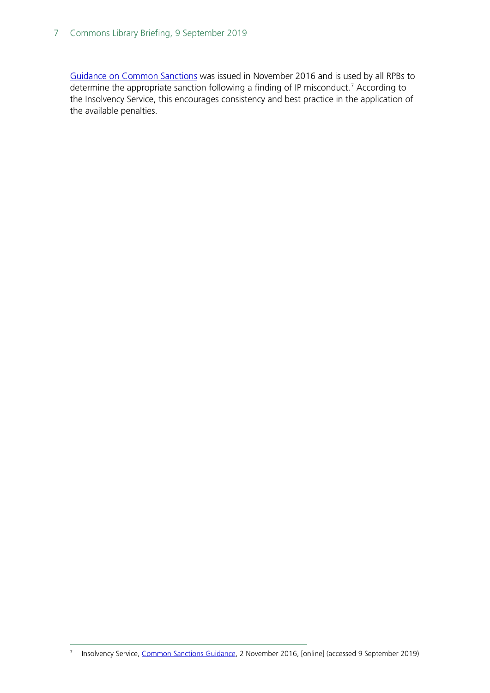#### 7 Commons Library Briefing, 9 September 2019

[Guidance on Common Sanctions](https://www.gov.uk/government/publications/disciplinary-sanctions-against-insolvency-practitioners/common-sanctions-guidance) was issued in November 2016 and is used by all RPBs to determine the appropriate sanction following a finding of IP misconduct.<sup>[7](#page-6-0)</sup> According to the Insolvency Service, this encourages consistency and best practice in the application of the available penalties.

<span id="page-6-0"></span> <sup>7</sup> Insolvency Service, [Common Sanctions Guidance,](https://www.gov.uk/government/publications/disciplinary-sanctions-against-insolvency-practitioners/common-sanctions-guidance) 2 November 2016, [online] (accessed 9 September 2019)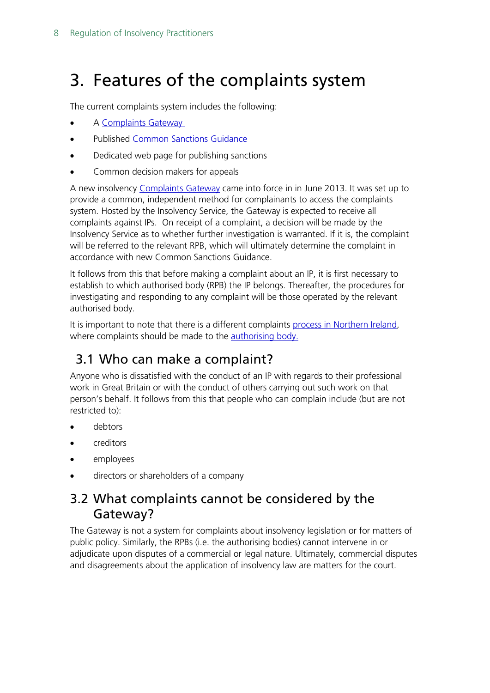## <span id="page-7-0"></span>3. Features of the complaints system

The current complaints system includes the following:

- A [Complaints Gateway](https://www.gov.uk/government/publications/insolvency-practitioners-guidance-for-those-who-want-to-complain/insolvency-practitioners-guidance-on-how-to-complain-about-an-insolvency-practitioner)
- Published Common [Sanctions Guidance](https://www.gov.uk/government/publications/disciplinary-sanctions-against-insolvency-practitioners/common-sanctions-guidance)
- Dedicated web page for publishing sanctions
- Common decision makers for appeals

A new insolvency [Complaints Gateway](https://www.gov.uk/government/publications/insolvency-practitioners-guidance-for-those-who-want-to-complain/insolvency-practitioners-guidance-on-how-to-complain-about-an-insolvency-practitioner) came into force in in June 2013. It was set up to provide a common, independent method for complainants to access the complaints system. Hosted by the Insolvency Service, the Gateway is expected to receive all complaints against IPs. On receipt of a complaint, a decision will be made by the Insolvency Service as to whether further investigation is warranted. If it is, the complaint will be referred to the relevant RPB, which will ultimately determine the complaint in accordance with new Common Sanctions Guidance.

It follows from this that before making a complaint about an IP, it is first necessary to establish to which authorised body (RPB) the IP belongs. Thereafter, the procedures for investigating and responding to any complaint will be those operated by the relevant authorised body.

It is important to note that there is a different complaints [process in Northern](https://www.detini.gov.uk/articles/making-complaint-against-insolvency-practitioner) Ireland, where complaints should be made to the **authorising body**.

### <span id="page-7-1"></span>3.1 Who can make a complaint?

Anyone who is dissatisfied with the conduct of an IP with regards to their professional work in Great Britain or with the conduct of others carrying out such work on that person's behalf. It follows from this that people who can complain include (but are not restricted to):

- debtors
- creditors
- employees
- directors or shareholders of a company

### <span id="page-7-2"></span>3.2 What complaints cannot be considered by the Gateway?

The Gateway is not a system for complaints about insolvency legislation or for matters of public policy. Similarly, the RPBs (i.e. the authorising bodies) cannot intervene in or adjudicate upon disputes of a commercial or legal nature. Ultimately, commercial disputes and disagreements about the application of insolvency law are matters for the court.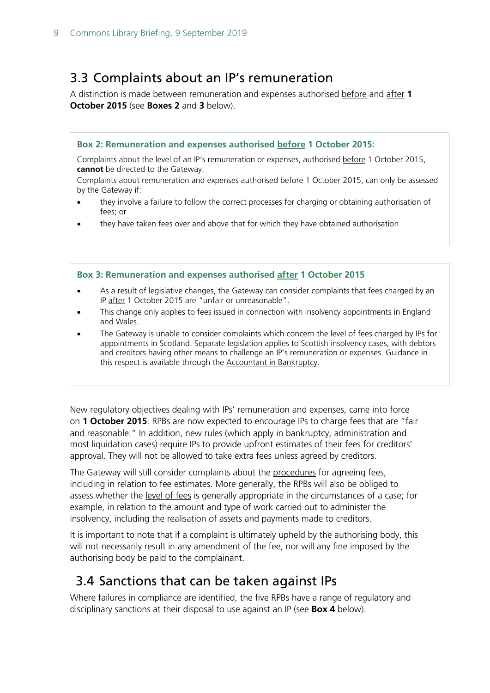### <span id="page-8-0"></span>3.3 Complaints about an IP's remuneration

A distinction is made between remuneration and expenses authorised before and after **1 October 2015** (see **Boxes 2** and **3** below).

#### **Box 2: Remuneration and expenses authorised before 1 October 2015:**

Complaints about the level of an IP's remuneration or expenses, authorised before 1 October 2015, **cannot** be directed to the Gateway.

Complaints about remuneration and expenses authorised before 1 October 2015, can only be assessed by the Gateway if:

- they involve a failure to follow the correct processes for charging or obtaining authorisation of fees; or
- they have taken fees over and above that for which they have obtained authorisation

#### **Box 3: Remuneration and expenses authorised after 1 October 2015**

- As a result of legislative changes, the Gateway can consider complaints that fees charged by an IP after 1 October 2015 are "unfair or unreasonable".
- This change only applies to fees issued in connection with insolvency appointments in England and Wales.
- The Gateway is unable to consider complaints which concern the level of fees charged by IPs for appointments in Scotland. Separate legislation applies to Scottish insolvency cases, with debtors and creditors having other means to challenge an IP's remuneration or expenses. Guidance in this respect is available through the Accountant in Bankruptcy.

New regulatory objectives dealing with IPs' remuneration and expenses, came into force on **1 October 2015**. RPBs are now expected to encourage IPs to charge fees that are "fair and reasonable." In addition, new rules (which apply in bankruptcy, administration and most liquidation cases) require IPs to provide upfront estimates of their fees for creditors' approval. They will not be allowed to take extra fees unless agreed by creditors.

The Gateway will still consider complaints about the procedures for agreeing fees, including in relation to fee estimates. More generally, the RPBs will also be obliged to assess whether the level of fees is generally appropriate in the circumstances of a case; for example, in relation to the amount and type of work carried out to administer the insolvency, including the realisation of assets and payments made to creditors.

It is important to note that if a complaint is ultimately upheld by the authorising body, this will not necessarily result in any amendment of the fee, nor will any fine imposed by the authorising body be paid to the complainant.

### <span id="page-8-1"></span>3.4 Sanctions that can be taken against IPs

Where failures in compliance are identified, the five RPBs have a range of regulatory and disciplinary sanctions at their disposal to use against an IP (see **Box 4** below).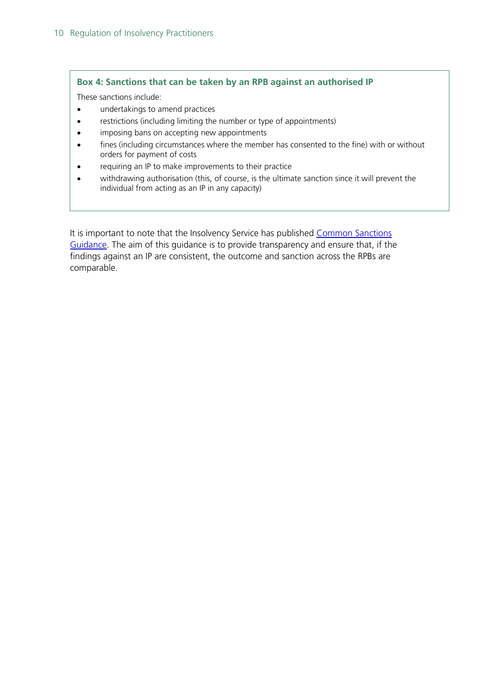#### **Box 4: Sanctions that can be taken by an RPB against an authorised IP**

These sanctions include:

- undertakings to amend practices
- restrictions (including limiting the number or type of appointments)
- imposing bans on accepting new appointments
- fines (including circumstances where the member has consented to the fine) with or without orders for payment of costs
- requiring an IP to make improvements to their practice
- withdrawing authorisation (this, of course, is the ultimate sanction since it will prevent the individual from acting as an IP in any capacity)

It is important to note that the Insolvency Service has published Common Sanctions [Guidance.](https://www.gov.uk/government/publications/disciplinary-sanctions-against-insolvency-practitioners/common-sanctions-guidance) The aim of this guidance is to provide transparency and ensure that, if the findings against an IP are consistent, the outcome and sanction across the RPBs are comparable.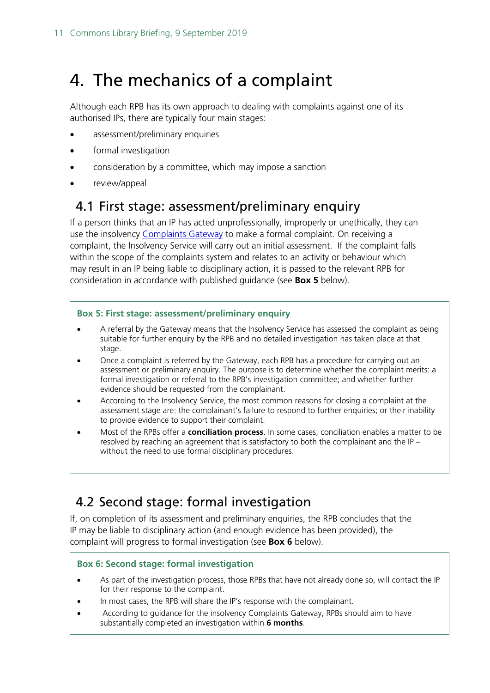## <span id="page-10-0"></span>4. The mechanics of a complaint

Although each RPB has its own approach to dealing with complaints against one of its authorised IPs, there are typically four main stages:

- assessment/preliminary enquiries
- formal investigation
- consideration by a committee, which may impose a sanction
- review/appeal

### <span id="page-10-1"></span>4.1 First stage: assessment/preliminary enquiry

If a person thinks that an IP has acted unprofessionally, improperly or unethically, they can use the insolvency [Complaints Gateway](https://www.gov.uk/complain-about-insolvency-practitioner) to make a formal complaint. On receiving a complaint, the Insolvency Service will carry out an initial assessment. If the complaint falls within the scope of the complaints system and relates to an activity or behaviour which may result in an IP being liable to disciplinary action, it is passed to the relevant RPB for consideration in accordance with published guidance (see **Box 5** below).

#### **Box 5: First stage: assessment/preliminary enquiry**

- A referral by the Gateway means that the Insolvency Service has assessed the complaint as being suitable for further enquiry by the RPB and no detailed investigation has taken place at that stage.
- Once a complaint is referred by the Gateway, each RPB has a procedure for carrying out an assessment or preliminary enquiry. The purpose is to determine whether the complaint merits: a formal investigation or referral to the RPB's investigation committee; and whether further evidence should be requested from the complainant.
- According to the Insolvency Service, the most common reasons for closing a complaint at the assessment stage are: the complainant's failure to respond to further enquiries; or their inability to provide evidence to support their complaint.
- Most of the RPBs offer a **conciliation process**. In some cases, conciliation enables a matter to be resolved by reaching an agreement that is satisfactory to both the complainant and the IP – without the need to use formal disciplinary procedures.

### <span id="page-10-2"></span>4.2 Second stage: formal investigation

If, on completion of its assessment and preliminary enquiries, the RPB concludes that the IP may be liable to disciplinary action (and enough evidence has been provided), the complaint will progress to formal investigation (see **Box 6** below).

#### **Box 6: Second stage: formal investigation**

- As part of the investigation process, those RPBs that have not already done so, will contact the IP for their response to the complaint.
- In most cases, the RPB will share the IP's response with the complainant.
- According to guidance for the insolvency Complaints Gateway, RPBs should aim to have substantially completed an investigation within **6 months**.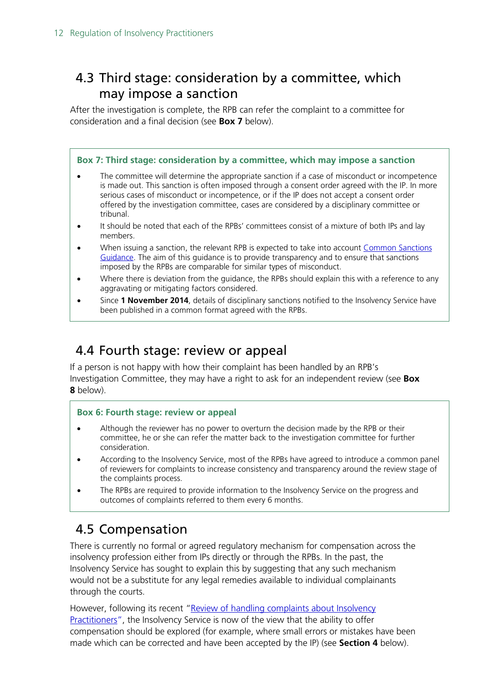### <span id="page-11-0"></span>4.3 Third stage: consideration by a committee, which may impose a sanction

After the investigation is complete, the RPB can refer the complaint to a committee for consideration and a final decision (see **Box 7** below).

#### **Box 7: Third stage: consideration by a committee, which may impose a sanction**

- The committee will determine the appropriate sanction if a case of misconduct or incompetence is made out. This sanction is often imposed through a consent order agreed with the IP. In more serious cases of misconduct or incompetence, or if the IP does not accept a consent order offered by the investigation committee, cases are considered by a disciplinary committee or tribunal.
- It should be noted that each of the RPBs' committees consist of a mixture of both IPs and lay members.
- When issuing a sanction, the relevant RPB is expected to take into account Common Sanctions [Guidance.](https://www.gov.uk/government/publications/disciplinary-sanctions-against-insolvency-practitioners/common-sanctions-guidance) The aim of this guidance is to provide transparency and to ensure that sanctions imposed by the RPBs are comparable for similar types of misconduct.
- Where there is deviation from the guidance, the RPBs should explain this with a reference to any aggravating or mitigating factors considered.
- Since **1 November 2014**, details of disciplinary sanctions notified to the Insolvency Service have been published in a common format agreed with the RPBs.

### <span id="page-11-1"></span>4.4 Fourth stage: review or appeal

If a person is not happy with how their complaint has been handled by an RPB's Investigation Committee, they may have a right to ask for an independent review (see **Box 8** below).

#### **Box 6: Fourth stage: review or appeal**

- Although the reviewer has no power to overturn the decision made by the RPB or their committee, he or she can refer the matter back to the investigation committee for further consideration.
- According to the Insolvency Service, most of the RPBs have agreed to introduce a common panel of reviewers for complaints to increase consistency and transparency around the review stage of the complaints process.
- The RPBs are required to provide information to the Insolvency Service on the progress and outcomes of complaints referred to them every 6 months.

### <span id="page-11-2"></span>4.5 Compensation

There is currently no formal or agreed regulatory mechanism for compensation across the insolvency profession either from IPs directly or through the RPBs. In the past, the Insolvency Service has sought to explain this by suggesting that any such mechanism would not be a substitute for any legal remedies available to individual complainants through the courts.

However, following its recent "Review of handling complaints about Insolvency [Practitioners",](https://www.gov.uk/government/publications/insolvency-practitioner-regulation-review-of-complaints-handling) the Insolvency Service is now of the view that the ability to offer compensation should be explored (for example, where small errors or mistakes have been made which can be corrected and have been accepted by the IP) (see **Section 4** below).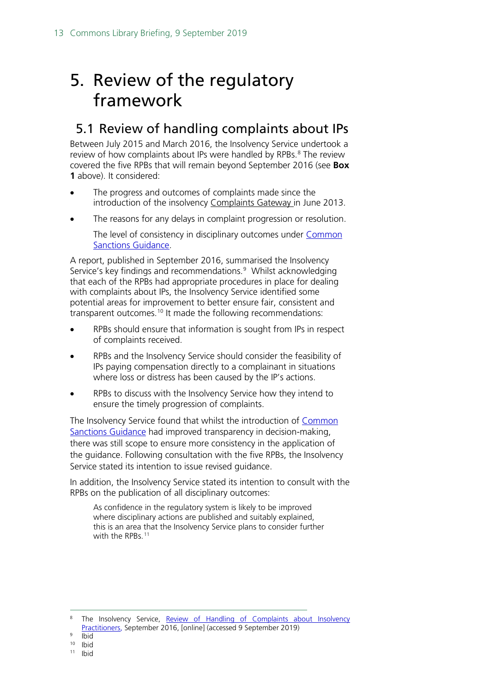## <span id="page-12-0"></span>5. Review of the regulatory framework

### <span id="page-12-1"></span>5.1 Review of handling complaints about IPs

Between July 2015 and March 2016, the Insolvency Service undertook a review of how complaints about IPs were handled by RPBs.<sup>[8](#page-12-2)</sup> The review covered the five RPBs that will remain beyond September 2016 (see **Box 1** above). It considered:

- The progress and outcomes of complaints made since the introduction of the insolvency Complaints Gateway in June 2013.
- The reasons for any delays in complaint progression or resolution.

The level of consistency in disciplinary outcomes under [Common](https://www.gov.uk/government/publications/disciplinary-sanctions-against-insolvency-practitioners/common-sanctions-guidance) [Sanctions Guidance.](https://www.gov.uk/government/publications/disciplinary-sanctions-against-insolvency-practitioners/common-sanctions-guidance)

A report, published in September 2016, summarised the Insolvency Service's key findings and recommendations. [9](#page-12-3) Whilst acknowledging that each of the RPBs had appropriate procedures in place for dealing with complaints about IPs, the Insolvency Service identified some potential areas for improvement to better ensure fair, consistent and transparent outcomes.<sup>[10](#page-12-4)</sup> It made the following recommendations:

- RPBs should ensure that information is sought from IPs in respect of complaints received.
- RPBs and the Insolvency Service should consider the feasibility of IPs paying compensation directly to a complainant in situations where loss or distress has been caused by the IP's actions.
- RPBs to discuss with the Insolvency Service how they intend to ensure the timely progression of complaints.

The Insolvency Service found that whilst the introduction of [Common](https://www.gov.uk/government/publications/disciplinary-sanctions-against-insolvency-practitioners/common-sanctions-guidance) [Sanctions Guidance](https://www.gov.uk/government/publications/disciplinary-sanctions-against-insolvency-practitioners/common-sanctions-guidance) had improved transparency in decision-making, there was still scope to ensure more consistency in the application of the guidance. Following consultation with the five RPBs, the Insolvency Service stated its intention to issue revised guidance.

In addition, the Insolvency Service stated its intention to consult with the RPBs on the publication of all disciplinary outcomes:

As confidence in the regulatory system is likely to be improved where disciplinary actions are published and suitably explained, this is an area that the Insolvency Service plans to consider further with the RPBs.<sup>[11](#page-12-5)</sup>

<span id="page-12-2"></span><sup>&</sup>lt;sup>8</sup> The Insolvency Service, Review of Handling of Complaints about Insolvency [Practitioners,](https://www.gov.uk/government/uploads/system/uploads/attachment_data/file/554113/Review_of_handling_of_complaints_about_insolvency_practitioners.pdf) September 2016, [online] (accessed 9 September 2019)

<span id="page-12-3"></span><sup>9</sup> Ibid

<span id="page-12-5"></span><span id="page-12-4"></span> $10$  Ibid<br> $11$  Ibid

**Ibid**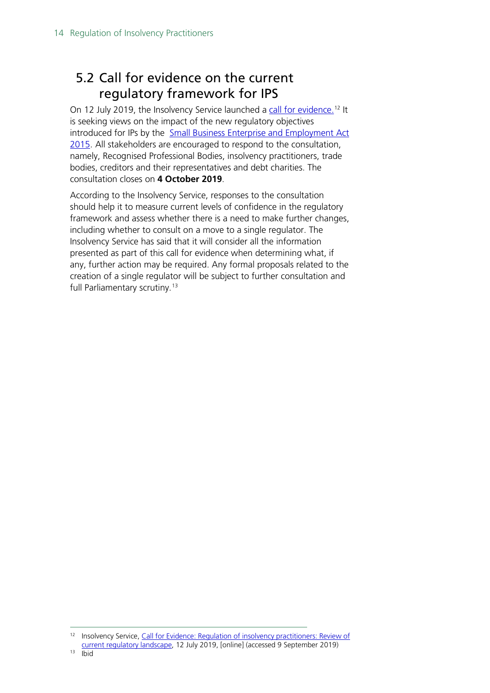### <span id="page-13-0"></span>5.2 Call for evidence on the current regulatory framework for IPS

On 12 July 2019, the Insolvency Service launched a [call for evidence.](https://assets.publishing.service.gov.uk/government/uploads/system/uploads/attachment_data/file/816560/Call_for_Evidence_Final_Proofed_Versionrev.pdf)<sup>[12](#page-13-1)</sup> It is seeking views on the impact of the new regulatory objectives introduced for IPs by the Small Business Enterprise and Employment Act [2015.](http://www.legislation.gov.uk/ukpga/2015/26/contents/enacted) All stakeholders are encouraged to respond to the consultation, namely, Recognised Professional Bodies, insolvency practitioners, trade bodies, creditors and their representatives and debt charities. The consultation closes on **4 October 2019**.

According to the Insolvency Service, responses to the consultation should help it to measure current levels of confidence in the regulatory framework and assess whether there is a need to make further changes, including whether to consult on a move to a single regulator. The Insolvency Service has said that it will consider all the information presented as part of this call for evidence when determining what, if any, further action may be required. Any formal proposals related to the creation of a single regulator will be subject to further consultation and full Parliamentary scrutiny. [13](#page-13-2)

<span id="page-13-2"></span><span id="page-13-1"></span><sup>&</sup>lt;sup>12</sup> Insolvency Service, Call for Evidence: Regulation of insolvency practitioners: Review of [current regulatory landscape,](https://assets.publishing.service.gov.uk/government/uploads/system/uploads/attachment_data/file/816560/Call_for_Evidence_Final_Proofed_Versionrev.pdf) 12 July 2019, [online] (accessed 9 September 2019) 13 Ibid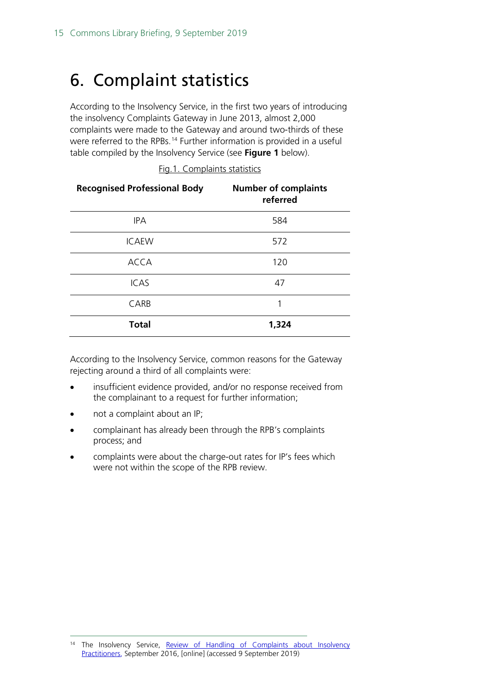## <span id="page-14-0"></span>6. Complaint statistics

According to the Insolvency Service, in the first two years of introducing the insolvency Complaints Gateway in June 2013, almost 2,000 complaints were made to the Gateway and around two-thirds of these were referred to the RPBs.<sup>[14](#page-14-1)</sup> Further information is provided in a useful table compiled by the Insolvency Service (see **Figure 1** below).

| <b>Recognised Professional Body</b> | <b>Number of complaints</b><br>referred |
|-------------------------------------|-----------------------------------------|
| <b>IPA</b>                          | 584                                     |
| <b>ICAEW</b>                        | 572                                     |
| <b>ACCA</b>                         | 120                                     |
| <b>ICAS</b>                         | 47                                      |
| CARB                                | 1                                       |
| <b>Total</b>                        | 1,324                                   |

Fig.1. Complaints statistics

According to the Insolvency Service, common reasons for the Gateway rejecting around a third of all complaints were:

- insufficient evidence provided, and/or no response received from the complainant to a request for further information;
- not a complaint about an IP;
- complainant has already been through the RPB's complaints process; and
- complaints were about the charge-out rates for IP's fees which were not within the scope of the RPB review.

<span id="page-14-1"></span><sup>&</sup>lt;sup>14</sup> The Insolvency Service, Review of Handling of Complaints about Insolvency [Practitioners,](https://www.gov.uk/government/uploads/system/uploads/attachment_data/file/554113/Review_of_handling_of_complaints_about_insolvency_practitioners.pdf) September 2016, [online] (accessed 9 September 2019)